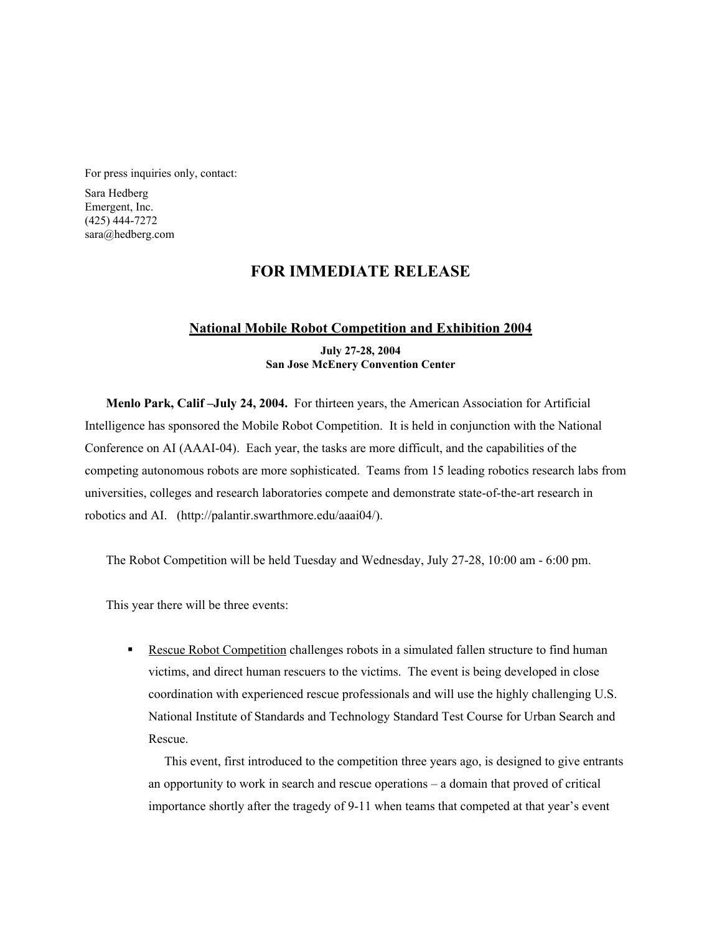For press inquiries only, contact:

Sara Hedberg Emergent, Inc. (425) 444-7272 sara@hedberg.com

## **FOR IMMEDIATE RELEASE**

## **National Mobile Robot Competition and Exhibition 2004**

**July 27-28, 2004 San Jose McEnery Convention Center**

**Menlo Park, Calif –July 24, 2004.** For thirteen years, the American Association for Artificial Intelligence has sponsored the Mobile Robot Competition. It is held in conjunction with the National Conference on AI (AAAI-04). Each year, the tasks are more difficult, and the capabilities of the competing autonomous robots are more sophisticated. Teams from 15 leading robotics research labs from universities, colleges and research laboratories compete and demonstrate state-of-the-art research in robotics and AI. (http://palantir.swarthmore.edu/aaai04/).

The Robot Competition will be held Tuesday and Wednesday, July 27-28, 10:00 am - 6:00 pm.

This year there will be three events:

 Rescue Robot Competition challenges robots in a simulated fallen structure to find human victims, and direct human rescuers to the victims. The event is being developed in close coordination with experienced rescue professionals and will use the highly challenging U.S. National Institute of Standards and Technology Standard Test Course for Urban Search and Rescue.

This event, first introduced to the competition three years ago, is designed to give entrants an opportunity to work in search and rescue operations – a domain that proved of critical importance shortly after the tragedy of 9-11 when teams that competed at that year's event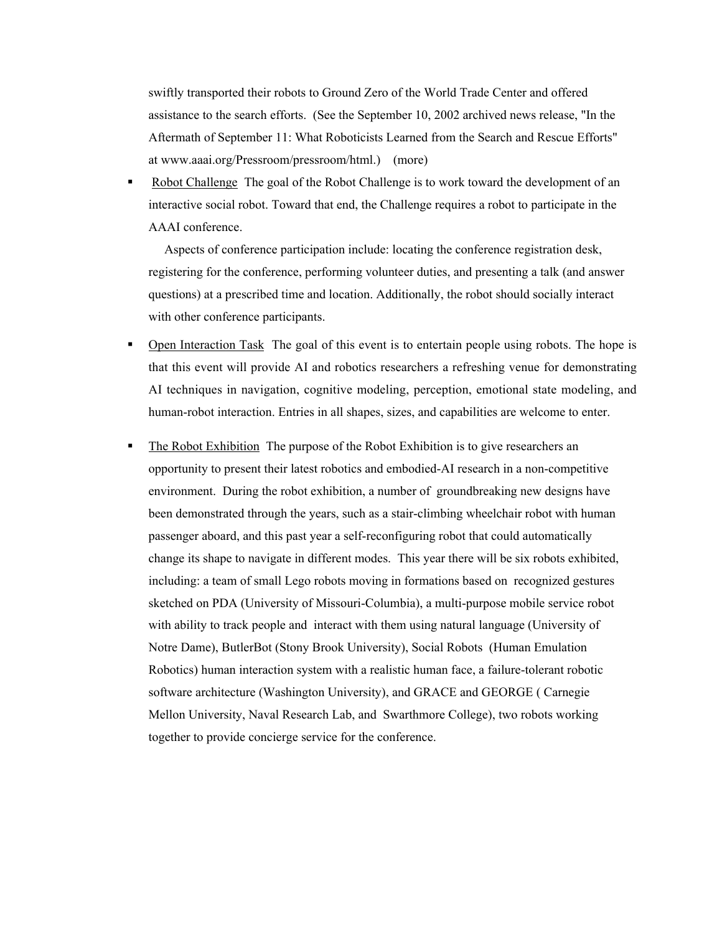swiftly transported their robots to Ground Zero of the World Trade Center and offered assistance to the search efforts. (See the September 10, 2002 archived news release, "In the Aftermath of September 11: What Roboticists Learned from the Search and Rescue Efforts" at www.aaai.org/Pressroom/pressroom/html.) (more)

• Robot Challenge The goal of the Robot Challenge is to work toward the development of an interactive social robot. Toward that end, the Challenge requires a robot to participate in the AAAI conference.

Aspects of conference participation include: locating the conference registration desk, registering for the conference, performing volunteer duties, and presenting a talk (and answer questions) at a prescribed time and location. Additionally, the robot should socially interact with other conference participants.

- Open Interaction Task The goal of this event is to entertain people using robots. The hope is that this event will provide AI and robotics researchers a refreshing venue for demonstrating AI techniques in navigation, cognitive modeling, perception, emotional state modeling, and human-robot interaction. Entries in all shapes, sizes, and capabilities are welcome to enter.
- **The Robot Exhibition** The purpose of the Robot Exhibition is to give researchers an opportunity to present their latest robotics and embodied-AI research in a non-competitive environment. During the robot exhibition, a number of groundbreaking new designs have been demonstrated through the years, such as a stair-climbing wheelchair robot with human passenger aboard, and this past year a self-reconfiguring robot that could automatically change its shape to navigate in different modes. This year there will be six robots exhibited, including: a team of small Lego robots moving in formations based on recognized gestures sketched on PDA (University of Missouri-Columbia), a multi-purpose mobile service robot with ability to track people and interact with them using natural language (University of Notre Dame), ButlerBot (Stony Brook University), Social Robots (Human Emulation Robotics) human interaction system with a realistic human face, a failure-tolerant robotic software architecture (Washington University), and GRACE and GEORGE ( Carnegie Mellon University, Naval Research Lab, and Swarthmore College), two robots working together to provide concierge service for the conference.